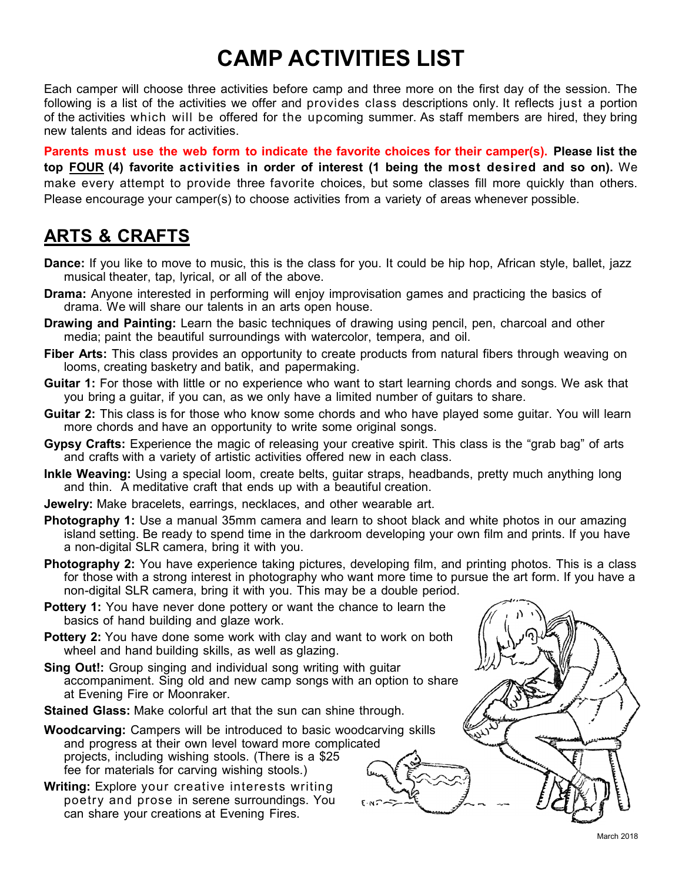# **CAMP ACTIVITIES LIST**

Each camper will choose three activities before camp and three more on the first day of the session. The following is a list of the activities we offer and provides class descriptions only. It reflects just a portion of the activities which will be offered for the upcoming summer. As staff members are hired, they bring new talents and ideas for activities.

**Parents must use the web form to indicate the favorite choices for their camper(s). Please list the top FOUR (4) favorite activities in order of interest (1 being the most desired and so on).** We make every attempt to provide three favorite choices, but some classes fill more quickly than others. Please encourage your camper(s) to choose activities from a variety of areas whenever possible.

#### **ARTS & CRAFTS**

- **Dance:** If you like to move to music, this is the class for you. It could be hip hop, African style, ballet, jazz musical theater, tap, lyrical, or all of the above.
- **Drama:** Anyone interested in performing will enjoy improvisation games and practicing the basics of drama. We will share our talents in an arts open house.
- **Drawing and Painting:** Learn the basic techniques of drawing using pencil, pen, charcoal and other media; paint the beautiful surroundings with watercolor, tempera, and oil.
- **Fiber Arts:** This class provides an opportunity to create products from natural fibers through weaving on looms, creating basketry and batik, and papermaking.
- **Guitar 1:** For those with little or no experience who want to start learning chords and songs. We ask that you bring a guitar, if you can, as we only have a limited number of guitars to share.
- **Guitar 2:** This class is for those who know some chords and who have played some guitar. You will learn more chords and have an opportunity to write some original songs.
- **Gypsy Crafts:** Experience the magic of releasing your creative spirit. This class is the "grab bag" of arts and crafts with a variety of artistic activities offered new in each class.
- **Inkle Weaving:** Using a special loom, create belts, guitar straps, headbands, pretty much anything long and thin. A meditative craft that ends up with a beautiful creation.
- **Jewelry:** Make bracelets, earrings, necklaces, and other wearable art.
- **Photography 1:** Use a manual 35mm camera and learn to shoot black and white photos in our amazing island setting. Be ready to spend time in the darkroom developing your own film and prints. If you have a non-digital SLR camera, bring it with you.
- **Photography 2:** You have experience taking pictures, developing film, and printing photos. This is a class for those with a strong interest in photography who want more time to pursue the art form. If you have a non-digital SLR camera, bring it with you. This may be a double period.
- **Pottery 1:** You have never done pottery or want the chance to learn the basics of hand building and glaze work.
- **Pottery 2:** You have done some work with clay and want to work on both wheel and hand building skills, as well as glazing.
- **Sing Out!:** Group singing and individual song writing with guitar accompaniment. Sing old and new camp songs with an option to share at Evening Fire or Moonraker.
- **Stained Glass:** Make colorful art that the sun can shine through.
- **Woodcarving:** Campers will be introduced to basic woodcarving skills and progress at their own level toward more complicated projects, including wishing stools. (There is a \$25 fee for materials for carving wishing stools.)
- **Writing:** Explore your creative interests writing poetry and prose in serene surroundings. You can share your creations at Evening Fires.



March 2018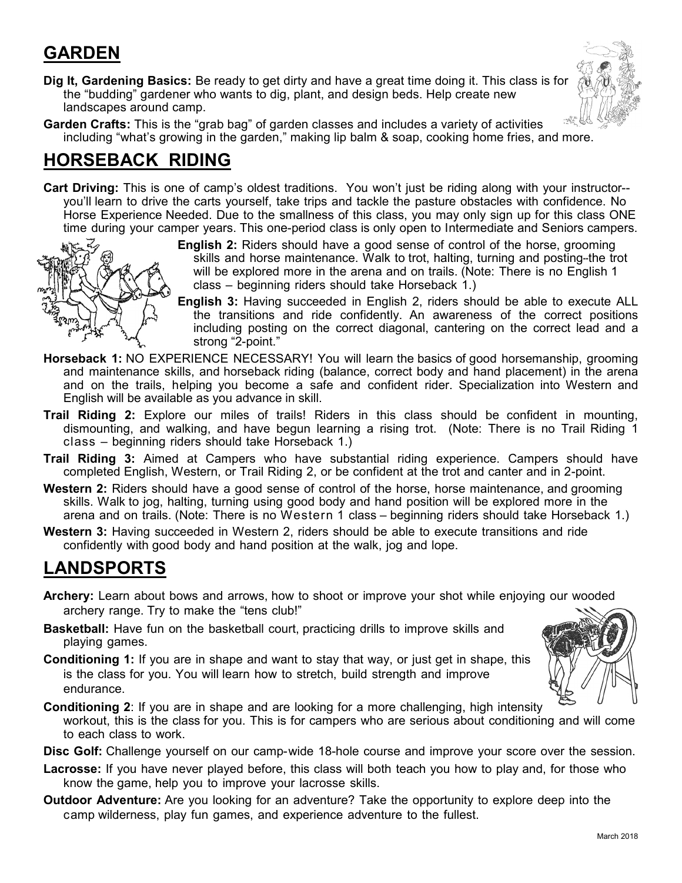## **GARDEN**

**Dig It, Gardening Basics:** Be ready to get dirty and have a great time doing it. This class is for the "budding" gardener who wants to dig, plant, and design beds. Help create new landscapes around camp.



**Garden Crafts:** This is the "grab bag" of garden classes and includes a variety of activities including "what's growing in the garden," making lip balm & soap, cooking home fries, and more.

## **HORSEBACK RIDING**

**Cart Driving:** This is one of camp's oldest traditions. You won't just be riding along with your instructor- you'll learn to drive the carts yourself, take trips and tackle the pasture obstacles with confidence. No Horse Experience Needed. Due to the smallness of this class, you may only sign up for this class ONE time during your camper years. This one-period class is only open to Intermediate and Seniors campers.



**English 2:** Riders should have a good sense of control of the horse, grooming skills and horse maintenance. Walk to trot, halting, turning and posting-the trot will be explored more in the arena and on trails. (Note: There is no English 1 class – beginning riders should take Horseback 1.)

- **English 3:** Having succeeded in English 2, riders should be able to execute ALL the transitions and ride confidently. An awareness of the correct positions including posting on the correct diagonal, cantering on the correct lead and a strong "2-point."
- **Horseback 1:** NO EXPERIENCE NECESSARY! You will learn the basics of good horsemanship, grooming and maintenance skills, and horseback riding (balance, correct body and hand placement) in the arena and on the trails, helping you become a safe and confident rider. Specialization into Western and English will be available as you advance in skill.
- **Trail Riding 2:** Explore our miles of trails! Riders in this class should be confident in mounting, dismounting, and walking, and have begun learning a rising trot. (Note: There is no Trail Riding 1 class – beginning riders should take Horseback 1.)
- **Trail Riding 3:** Aimed at Campers who have substantial riding experience. Campers should have completed English, Western, or Trail Riding 2, or be confident at the trot and canter and in 2-point.
- **Western 2:** Riders should have a good sense of control of the horse, horse maintenance, and grooming skills. Walk to jog, halting, turning using good body and hand position will be explored more in the arena and on trails. (Note: There is no Western 1 class – beginning riders should take Horseback 1.)
- **Western 3:** Having succeeded in Western 2, riders should be able to execute transitions and ride confidently with good body and hand position at the walk, jog and lope.

## **LANDSPORTS**

- **Archery:** Learn about bows and arrows, how to shoot or improve your shot while enjoying our wooded archery range. Try to make the "tens club!"
- **Basketball:** Have fun on the basketball court, practicing drills to improve skills and playing games.
- **Conditioning 1:** If you are in shape and want to stay that way, or just get in shape, this is the class for you. You will learn how to stretch, build strength and improve endurance.



- **Conditioning 2**: If you are in shape and are looking for a more challenging, high intensity workout, this is the class for you. This is for campers who are serious about conditioning and will come to each class to work.
- **Disc Golf:** Challenge yourself on our camp-wide 18-hole course and improve your score over the session.
- **Lacrosse:** If you have never played before, this class will both teach you how to play and, for those who know the game, help you to improve your lacrosse skills.
- **Outdoor Adventure:** Are you looking for an adventure? Take the opportunity to explore deep into the camp wilderness, play fun games, and experience adventure to the fullest.